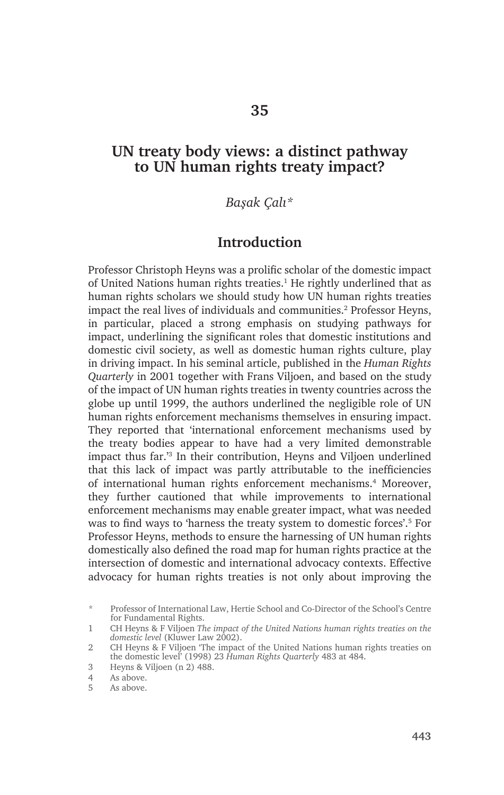### **UN treaty body views: a distinct pathway to UN human rights treaty impact?**

#### *Başak Çalı\**

### **Introduction**

Professor Christoph Heyns was a prolific scholar of the domestic impact of United Nations human rights treaties.<sup>1</sup> He rightly underlined that as human rights scholars we should study how UN human rights treaties impact the real lives of individuals and communities.<sup>2</sup> Professor Heyns, in particular, placed a strong emphasis on studying pathways for impact, underlining the significant roles that domestic institutions and domestic civil society, as well as domestic human rights culture, play in driving impact. In his seminal article, published in the *Human Rights Quarterly* in 2001 together with Frans Viljoen, and based on the study of the impact of UN human rights treaties in twenty countries across the globe up until 1999, the authors underlined the negligible role of UN human rights enforcement mechanisms themselves in ensuring impact. They reported that 'international enforcement mechanisms used by the treaty bodies appear to have had a very limited demonstrable impact thus far.'<sup>3</sup> In their contribution, Heyns and Viljoen underlined that this lack of impact was partly attributable to the inefficiencies of international human rights enforcement mechanisms.<sup>4</sup> Moreover, they further cautioned that while improvements to international enforcement mechanisms may enable greater impact, what was needed was to find ways to 'harness the treaty system to domestic forces'.<sup>5</sup> For Professor Heyns, methods to ensure the harnessing of UN human rights domestically also defined the road map for human rights practice at the intersection of domestic and international advocacy contexts. Effective advocacy for human rights treaties is not only about improving the

<sup>\*</sup> Professor of International Law, Hertie School and Co-Director of the School's Centre for Fundamental Rights.

<sup>1</sup> CH Heyns & F Viljoen *The impact of the United Nations human rights treaties on the domestic level* (Kluwer Law 2002).

<sup>2</sup> CH Heyns & F Viljoen 'The impact of the United Nations human rights treaties on the domestic level' (1998) 23 *Human Rights Quarterly* 483 at 484.

<sup>3</sup> Heyns & Viljoen (n 2) 488.

<sup>4</sup> As above.

<sup>5</sup> As above.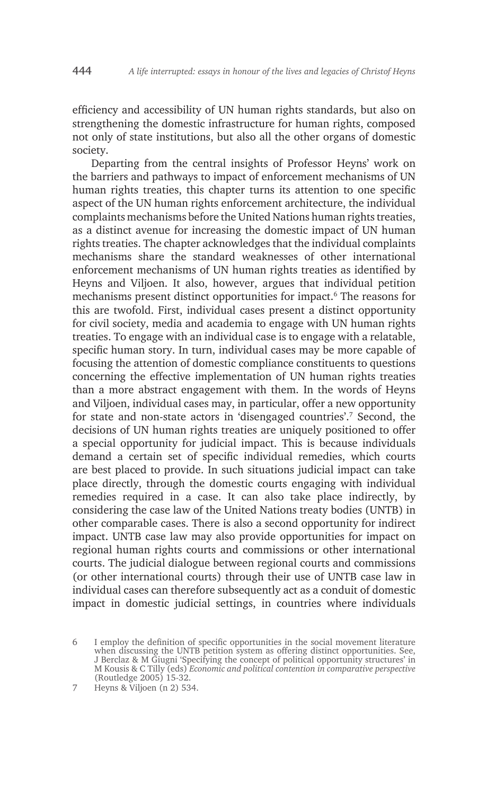efficiency and accessibility of UN human rights standards, but also on strengthening the domestic infrastructure for human rights, composed not only of state institutions, but also all the other organs of domestic society.

Departing from the central insights of Professor Heyns' work on the barriers and pathways to impact of enforcement mechanisms of UN human rights treaties, this chapter turns its attention to one specific aspect of the UN human rights enforcement architecture, the individual complaints mechanisms before the United Nations human rights treaties, as a distinct avenue for increasing the domestic impact of UN human rights treaties. The chapter acknowledges that the individual complaints mechanisms share the standard weaknesses of other international enforcement mechanisms of UN human rights treaties as identified by Heyns and Viljoen. It also, however, argues that individual petition mechanisms present distinct opportunities for impact.<sup>6</sup> The reasons for this are twofold. First, individual cases present a distinct opportunity for civil society, media and academia to engage with UN human rights treaties. To engage with an individual case is to engage with a relatable, specific human story. In turn, individual cases may be more capable of focusing the attention of domestic compliance constituents to questions concerning the effective implementation of UN human rights treaties than a more abstract engagement with them. In the words of Heyns and Viljoen, individual cases may, in particular, offer a new opportunity for state and non-state actors in 'disengaged countries'.<sup>7</sup> Second, the decisions of UN human rights treaties are uniquely positioned to offer a special opportunity for judicial impact. This is because individuals demand a certain set of specific individual remedies, which courts are best placed to provide. In such situations judicial impact can take place directly, through the domestic courts engaging with individual remedies required in a case. It can also take place indirectly, by considering the case law of the United Nations treaty bodies (UNTB) in other comparable cases. There is also a second opportunity for indirect impact. UNTB case law may also provide opportunities for impact on regional human rights courts and commissions or other international courts. The judicial dialogue between regional courts and commissions (or other international courts) through their use of UNTB case law in individual cases can therefore subsequently act as a conduit of domestic impact in domestic judicial settings, in countries where individuals

<sup>6</sup> I employ the definition of specific opportunities in the social movement literature when discussing the UNTB petition system as offering distinct opportunities. See, J Berclaz & M Giugni 'Specifying the concept of political opportunity structures' in M Kousis & C Tilly (eds) *Economic and political contention in comparative perspective* (Routledge 2005) 15-32.

<sup>7</sup> Heyns & Viljoen (n 2) 534.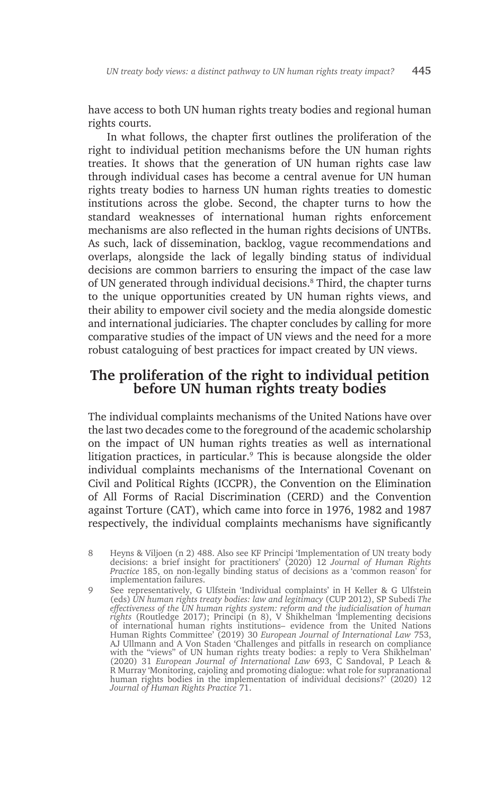have access to both UN human rights treaty bodies and regional human rights courts.

In what follows, the chapter first outlines the proliferation of the right to individual petition mechanisms before the UN human rights treaties. It shows that the generation of UN human rights case law through individual cases has become a central avenue for UN human rights treaty bodies to harness UN human rights treaties to domestic institutions across the globe. Second, the chapter turns to how the standard weaknesses of international human rights enforcement mechanisms are also reflected in the human rights decisions of UNTBs. As such, lack of dissemination, backlog, vague recommendations and overlaps, alongside the lack of legally binding status of individual decisions are common barriers to ensuring the impact of the case law of UN generated through individual decisions.<sup>8</sup> Third, the chapter turns to the unique opportunities created by UN human rights views, and their ability to empower civil society and the media alongside domestic and international judiciaries. The chapter concludes by calling for more comparative studies of the impact of UN views and the need for a more robust cataloguing of best practices for impact created by UN views.

## **The proliferation of the right to individual petition before UN human rights treaty bodies**

The individual complaints mechanisms of the United Nations have over the last two decades come to the foreground of the academic scholarship on the impact of UN human rights treaties as well as international litigation practices, in particular. $9$  This is because alongside the older individual complaints mechanisms of the International Covenant on Civil and Political Rights (ICCPR), the Convention on the Elimination of All Forms of Racial Discrimination (CERD) and the Convention against Torture (CAT), which came into force in 1976, 1982 and 1987 respectively, the individual complaints mechanisms have significantly

<sup>8</sup> Heyns & Viljoen (n 2) 488. Also see KF Principi 'Implementation of UN treaty body decisions: a brief insight for practitioners' (2020) 12 *Journal of Human Rights Practice* 185, on non-legally binding status of decisions as a 'common reason' for implementation failures.

<sup>9</sup> See representatively, G Ulfstein 'Individual complaints' in H Keller & G Ulfstein (eds) *UN human rights treaty bodies: law and legitimacy* (CUP 2012), SP Subedi *The effectiveness of the UN human rights system: reform and the judicialisation of human rights* (Routledge 2017); Principi (n 8), V Shikhelman 'Implementing decisions of international human rights institutions– evidence from the United Nations Human Rights Committee' (2019) 30 *European Journal of International Law* 753, AJ Ullmann and A Von Staden 'Challenges and pitfalls in research on compliance with the "views" of UN human rights treaty bodies: a reply to Vera Shikhelman' (2020) 31 *European Journal of International Law* 693, C Sandoval, P Leach & R Murray 'Monitoring, cajoling and promoting dialogue: what role for supranational human rights bodies in the implementation of individual decisions?' (2020) 12 *Journal of Human Rights Practice* 71.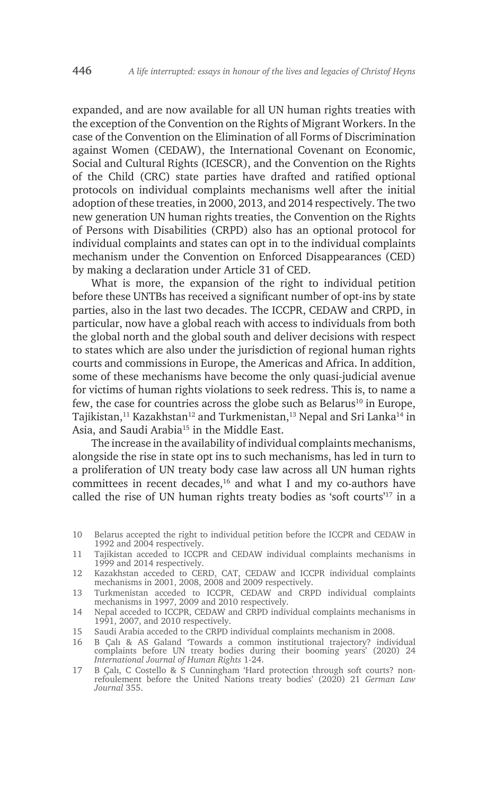expanded, and are now available for all UN human rights treaties with the exception of the Convention on the Rights of Migrant Workers. In the case of the Convention on the Elimination of all Forms of Discrimination against Women (CEDAW), the International Covenant on Economic, Social and Cultural Rights (ICESCR), and the Convention on the Rights of the Child (CRC) state parties have drafted and ratified optional protocols on individual complaints mechanisms well after the initial adoption of these treaties, in 2000, 2013, and 2014 respectively. The two new generation UN human rights treaties, the Convention on the Rights of Persons with Disabilities (CRPD) also has an optional protocol for individual complaints and states can opt in to the individual complaints mechanism under the Convention on Enforced Disappearances (CED) by making a declaration under Article 31 of CED.

What is more, the expansion of the right to individual petition before these UNTBs has received a significant number of opt-ins by state parties, also in the last two decades. The ICCPR, CEDAW and CRPD, in particular, now have a global reach with access to individuals from both the global north and the global south and deliver decisions with respect to states which are also under the jurisdiction of regional human rights courts and commissions in Europe, the Americas and Africa. In addition, some of these mechanisms have become the only quasi-judicial avenue for victims of human rights violations to seek redress. This is, to name a few, the case for countries across the globe such as Belarus<sup>10</sup> in Europe, Tajikistan,<sup>11</sup> Kazakhstan<sup>12</sup> and Turkmenistan,<sup>13</sup> Nepal and Sri Lanka<sup>14</sup> in Asia, and Saudi Arabia<sup>15</sup> in the Middle East.

The increase in the availability of individual complaints mechanisms, alongside the rise in state opt ins to such mechanisms, has led in turn to a proliferation of UN treaty body case law across all UN human rights committees in recent decades, $16$  and what I and my co-authors have called the rise of UN human rights treaty bodies as 'soft courts'17 in a

- 10 Belarus accepted the right to individual petition before the ICCPR and CEDAW in 1992 and 2004 respectively.
- 11 Tajikistan acceded to ICCPR and CEDAW individual complaints mechanisms in 1999 and 2014 respectively.
- 12 Kazakhstan acceded to CERD, CAT, CEDAW and ICCPR individual complaints mechanisms in 2001, 2008, 2008 and 2009 respectively.
- 13 Turkmenistan acceded to ICCPR, CEDAW and CRPD individual complaints mechanisms in 1997, 2009 and 2010 respectively.
- 14 Nepal acceded to ICCPR, CEDAW and CRPD individual complaints mechanisms in 1991, 2007, and 2010 respectively.
- 15 Saudi Arabia acceded to the CRPD individual complaints mechanism in 2008.
- 16 B Çalı & AS Galand 'Towards a common institutional trajectory? individual complaints before UN treaty bodies during their booming years' (2020) 24 *International Journal of Human Rights* 1-24.
- 17 B Çalı, C Costello & S Cunningham 'Hard protection through soft courts? nonrefoulement before the United Nations treaty bodies' (2020) 21 *German Law Journal* 355.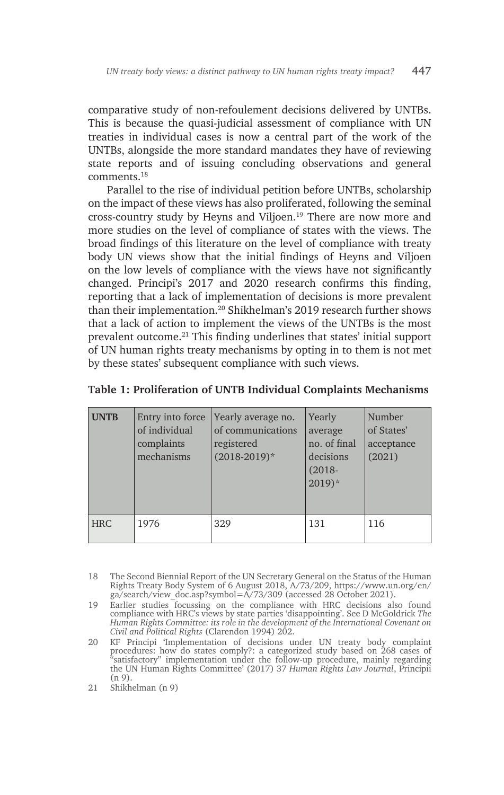comparative study of non-refoulement decisions delivered by UNTBs. This is because the quasi-judicial assessment of compliance with UN treaties in individual cases is now a central part of the work of the UNTBs, alongside the more standard mandates they have of reviewing state reports and of issuing concluding observations and general comments.18

Parallel to the rise of individual petition before UNTBs, scholarship on the impact of these views has also proliferated, following the seminal cross-country study by Heyns and Viljoen.19 There are now more and more studies on the level of compliance of states with the views. The broad findings of this literature on the level of compliance with treaty body UN views show that the initial findings of Heyns and Viljoen on the low levels of compliance with the views have not significantly changed. Principi's 2017 and 2020 research confirms this finding, reporting that a lack of implementation of decisions is more prevalent than their implementation.<sup>20</sup> Shikhelman's 2019 research further shows that a lack of action to implement the views of the UNTBs is the most prevalent outcome.21 This finding underlines that states' initial support of UN human rights treaty mechanisms by opting in to them is not met by these states' subsequent compliance with such views.

| <b>UNTB</b> | Entry into force<br>of individual<br>complaints<br>mechanisms | Yearly average no.<br>of communications<br>registered<br>$(2018 - 2019)^*$ | Yearly<br>average<br>no. of final<br>decisions<br>$(2018 -$<br>$2019)*$ | Number<br>of States'<br>acceptance<br>(2021) |
|-------------|---------------------------------------------------------------|----------------------------------------------------------------------------|-------------------------------------------------------------------------|----------------------------------------------|
| HRC.        | 1976                                                          | 329                                                                        | 131                                                                     | 116                                          |

| Table 1: Proliferation of UNTB Individual Complaints Mechanisms |  |  |  |  |
|-----------------------------------------------------------------|--|--|--|--|
|-----------------------------------------------------------------|--|--|--|--|

<sup>18</sup> The Second Biennial Report of the UN Secretary General on the Status of the Human Rights Treaty Body System of 6 August 2018, A/73/209, https://www.un.org/en/ ga/search/view\_doc.asp?symbol=A/73/309 (accessed 28 October 2021).

<sup>19</sup> Earlier studies focussing on the compliance with HRC decisions also found compliance with HRC's views by state parties 'disappointing'. See D McGoldrick *The Human Rights Committee: its role in the development of the International Covenant on Civil and Political Rights* (Clarendon 1994) 202.

<sup>20</sup> KF Principi 'Implementation of decisions under UN treaty body complaint procedures: how do states comply?: a categorized study based on 268 cases of "satisfactory" implementation under the follow-up procedure, mainly regarding the UN Human Rights Committee' (2017) 37 *Human Rights Law Journal*, Principii (n 9).

<sup>21</sup> Shikhelman (n 9)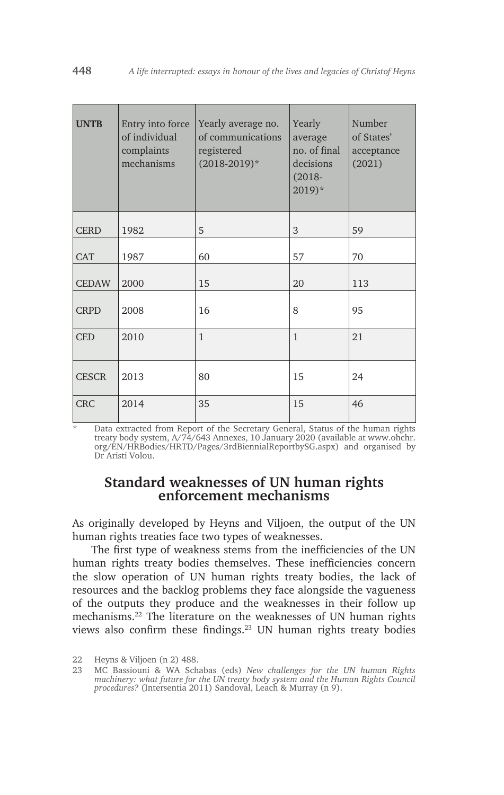| <b>UNTB</b>  | Entry into force<br>of individual<br>complaints<br>mechanisms | Yearly average no.<br>of communications<br>registered<br>$(2018-2019)*$ | Yearly<br>average<br>no. of final<br>decisions<br>$(2018 -$<br>$2019)*$ | Number<br>of States'<br>acceptance<br>(2021) |
|--------------|---------------------------------------------------------------|-------------------------------------------------------------------------|-------------------------------------------------------------------------|----------------------------------------------|
| <b>CERD</b>  | 1982                                                          | 5                                                                       | 3                                                                       | 59                                           |
| <b>CAT</b>   | 1987                                                          | 60                                                                      | 57                                                                      | 70                                           |
| <b>CEDAW</b> | 2000                                                          | 15                                                                      | 20                                                                      | 113                                          |
| <b>CRPD</b>  | 2008                                                          | 16                                                                      | 8                                                                       | 95                                           |
| <b>CED</b>   | 2010                                                          | $\mathbf{1}$                                                            | $\mathbf{1}$                                                            | 21                                           |
| <b>CESCR</b> | 2013                                                          | 80                                                                      | 15                                                                      | 24                                           |
| <b>CRC</b>   | 2014                                                          | 35                                                                      | 15                                                                      | 46                                           |

Data extracted from Report of the Secretary General, Status of the human rights treaty body system, A/74/643 Annexes, 10 January 2020 (available at www.ohchr. org/EN/HRBodies/HRTD/Pages/3rdBiennialReportbySG.aspx) and organised by Dr Aristi Volou.

# **Standard weaknesses of UN human rights enforcement mechanisms**

As originally developed by Heyns and Viljoen, the output of the UN human rights treaties face two types of weaknesses.

The first type of weakness stems from the inefficiencies of the UN human rights treaty bodies themselves. These inefficiencies concern the slow operation of UN human rights treaty bodies, the lack of resources and the backlog problems they face alongside the vagueness of the outputs they produce and the weaknesses in their follow up mechanisms.<sup>22</sup> The literature on the weaknesses of UN human rights views also confirm these findings.<sup>23</sup> UN human rights treaty bodies

23 MC Bassiouni & WA Schabas (eds) *New challenges for the UN human Rights machinery: what future for the UN treaty body system and the Human Rights Council procedures?* (Intersentia 2011) Sandoval, Leach & Murray (n 9).

<sup>22</sup> Heyns & Viljoen (n 2) 488.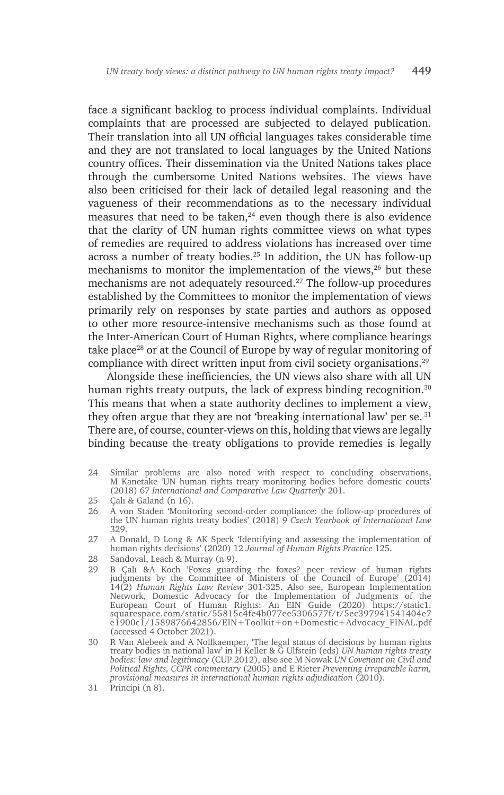face a significant backlog to process individual complaints. Individual complaints that are processed are subjected to delayed publication. Their translation into all UN official languages takes considerable time and they are not translated to local languages by the United Nations country offices. Their dissemination via the United Nations takes place through the cumbersome United Nations websites. The views have also been criticised for their lack of detailed legal reasoning and the vagueness of their recommendations as to the necessary individual measures that need to be taken,<sup>24</sup> even though there is also evidence that the clarity of UN human rights committee views on what types of remedies are required to address violations has increased over time across a number of treaty bodies.25 In addition, the UN has follow-up mechanisms to monitor the implementation of the views,<sup>26</sup> but these mechanisms are not adequately resourced.27 The follow-up procedures established by the Committees to monitor the implementation of views primarily rely on responses by state parties and authors as opposed to other more resource-intensive mechanisms such as those found at the Inter-American Court of Human Rights, where compliance hearings take place<sup>28</sup> or at the Council of Europe by way of regular monitoring of compliance with direct written input from civil society organisations.29

Alongside these inefficiencies, the UN views also share with all UN human rights treaty outputs, the lack of express binding recognition.<sup>30</sup> This means that when a state authority declines to implement a view, they often argue that they are not 'breaking international law' per se.  $31$ There are, of course, counter-views on this, holding that views are legally binding because the treaty obligations to provide remedies is legally

- 24 Similar problems are also noted with respect to concluding observations, M Kanetake 'UN human rights treaty monitoring bodies before domestic courts' (2018) 67 *International and Comparative Law Quarterly* 201.
- 25 Çalı & Galand (n 16).
- 26 A von Staden 'Monitoring second-order compliance: the follow-up procedures of the UN human rights treaty bodies' (2018) 9 *Czech Yearbook of International Law*  329.
- 27 A Donald, D Long & AK Speck 'Identifying and assessing the implementation of human rights decisions' (2020) 12 *Journal of Human Rights Practice* 125.
- 28 Sandoval, Leach & Murray (n 9).
- 29 B Çalı &A Koch 'Foxes guarding the foxes? peer review of human rights judgments by the Committee of Ministers of the Council of Europe' (2014) 14(2) *Human Rights Law Review* 301-325. Also see, European Implementation Network, Domestic Advocacy for the Implementation of Judgments of the European Court of Human Rights: An EIN Guide (2020) https://static1. squarespace.com/static/55815c4fe4b077ee5306577f/t/5ec397941541404e7 e1900c1/1589876642856/EIN+Toolkit+on+Domestic+Advocacy\_FINAL.pdf (accessed 4 October 2021).
- 30 R Van Alebeek and A Nollkaemper, 'The legal status of decisions by human rights treaty bodies in national law' in H Keller & G Ulfstein (eds) *UN human rights treaty bodies: law and legitimacy* (CUP 2012), also see M Nowak *UN Covenant on Civil and Political Rights, CCPR commentary* (2005) and E Rieter *Preventing irreparable harm, provisional measures in international human rights adjudication* (2010).

<sup>31</sup> Principi (n 8).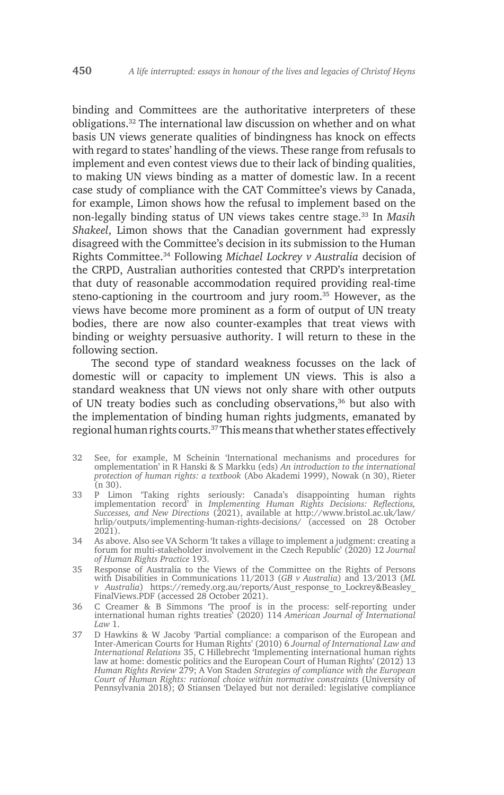binding and Committees are the authoritative interpreters of these obligations.32 The international law discussion on whether and on what basis UN views generate qualities of bindingness has knock on effects with regard to states' handling of the views. These range from refusals to implement and even contest views due to their lack of binding qualities, to making UN views binding as a matter of domestic law. In a recent case study of compliance with the CAT Committee's views by Canada, for example, Limon shows how the refusal to implement based on the non-legally binding status of UN views takes centre stage.33 In *Masih Shakeel*, Limon shows that the Canadian government had expressly disagreed with the Committee's decision in its submission to the Human Rights Committee.34 Following *Michael Lockrey v Australia* decision of the CRPD, Australian authorities contested that CRPD's interpretation that duty of reasonable accommodation required providing real-time steno-captioning in the courtroom and jury room.35 However, as the views have become more prominent as a form of output of UN treaty bodies, there are now also counter-examples that treat views with binding or weighty persuasive authority. I will return to these in the following section.

The second type of standard weakness focusses on the lack of domestic will or capacity to implement UN views. This is also a standard weakness that UN views not only share with other outputs of UN treaty bodies such as concluding observations,<sup>36</sup> but also with the implementation of binding human rights judgments, emanated by regional human rights courts.<sup>37</sup> This means that whether states effectively

- 32 See, for example, M Scheinin 'International mechanisms and procedures for omplementation' in R Hanski & S Markku (eds) *An introduction to the international protection of human rights: a textbook* (Abo Akademi 1999), Nowak (n 30), Rieter  $(n 30)$ .
- 33 P Limon 'Taking rights seriously: Canada's disappointing human rights implementation record' in *Implementing Human Rights Decisions: Reflections, Successes, and New Directions* (2021), available at http://www.bristol.a hrlip/outputs/implementing-human-rights-decisions/ (accessed on 28 October 2021).
- 34 As above. Also see VA Schorm 'It takes a village to implement a judgment: creating a forum for multi-stakeholder involvement in the Czech Republic' (2020) 12 *Journal of Human Rights Practice* 193.
- 35 Response of Australia to the Views of the Committee on the Rights of Persons with Disabilities in Communications 11/2013 (*GB v Australia*) and 13/2013 (*ML v* Australia) https://remedy.org.au/reports/Aust\_response\_to\_Lockrey&Beasley FinalViews.PDF (accessed 28 October 2021).
- 36 C Creamer & B Simmons 'The proof is in the process: self-reporting under international human rights treaties' (2020) 114 *American Journal of International Law* 1.
- 37 D Hawkins & W Jacoby 'Partial compliance: a comparison of the European and Inter-American Courts for Human Rights' (2010) 6 *Journal of International Law and International Relations* 35, C Hillebrecht 'Implementing international human rights law at home: domestic politics and the European Court of Human Rights' (2012) 13 *Human Rights Review* 279; A Von Staden *Strategies of compliance with the European Court of Human Rights: rational choice within normative constraints* (University of Pennsylvania 2018); Ø Stiansen 'Delayed but not derailed: legislative compliance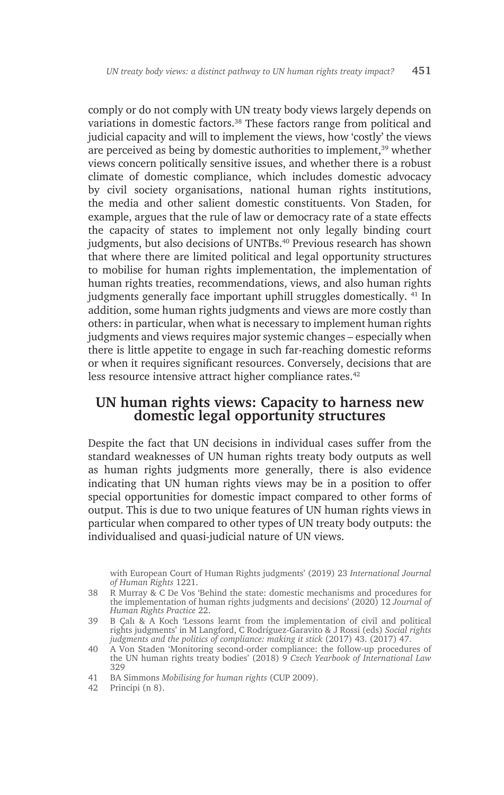comply or do not comply with UN treaty body views largely depends on variations in domestic factors.38 These factors range from political and judicial capacity and will to implement the views, how 'costly' the views are perceived as being by domestic authorities to implement,39 whether views concern politically sensitive issues, and whether there is a robust climate of domestic compliance, which includes domestic advocacy by civil society organisations, national human rights institutions, the media and other salient domestic constituents. Von Staden, for example, argues that the rule of law or democracy rate of a state effects the capacity of states to implement not only legally binding court judgments, but also decisions of UNTBs.<sup>40</sup> Previous research has shown that where there are limited political and legal opportunity structures to mobilise for human rights implementation, the implementation of human rights treaties, recommendations, views, and also human rights judgments generally face important uphill struggles domestically. 41 In addition, some human rights judgments and views are more costly than others: in particular, when what is necessary to implement human rights judgments and views requires major systemic changes – especially when there is little appetite to engage in such far-reaching domestic reforms or when it requires significant resources. Conversely, decisions that are less resource intensive attract higher compliance rates.<sup>42</sup>

# **UN human rights views: Capacity to harness new domestic legal opportunity structures**

Despite the fact that UN decisions in individual cases suffer from the standard weaknesses of UN human rights treaty body outputs as well as human rights judgments more generally, there is also evidence indicating that UN human rights views may be in a position to offer special opportunities for domestic impact compared to other forms of output. This is due to two unique features of UN human rights views in particular when compared to other types of UN treaty body outputs: the individualised and quasi-judicial nature of UN views.

with European Court of Human Rights judgments' (2019) 23 *International Journal of Human Rights* 1221.

<sup>38</sup> R Murray & C De Vos 'Behind the state: domestic mechanisms and procedures for the implementation of human rights judgments and decisions' (2020) 12 *Journal of Human Rights Practice* 22.

<sup>39</sup> B Çalı & A Koch 'Lessons learnt from the implementation of civil and political rights judgments' in M Langford, C Rodríguez-Garavito & J Rossi (eds) *Social rights judgments and the politics of compliance: making it stick* (2017) 43. (2017) 47.

<sup>40</sup> A Von Staden 'Monitoring second-order compliance: the follow-up procedures of the UN human rights treaty bodies' (2018) 9 *Czech Yearbook of International Law*  329

<sup>41</sup> BA Simmons *Mobilising for human rights* (CUP 2009).

<sup>42</sup> Principi (n 8).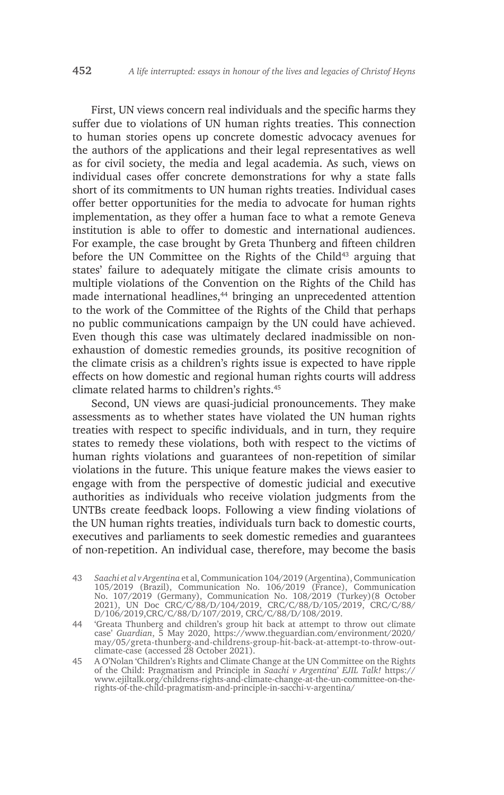First, UN views concern real individuals and the specific harms they suffer due to violations of UN human rights treaties. This connection to human stories opens up concrete domestic advocacy avenues for the authors of the applications and their legal representatives as well as for civil society, the media and legal academia. As such, views on individual cases offer concrete demonstrations for why a state falls short of its commitments to UN human rights treaties. Individual cases offer better opportunities for the media to advocate for human rights implementation, as they offer a human face to what a remote Geneva institution is able to offer to domestic and international audiences. For example, the case brought by Greta Thunberg and fifteen children before the UN Committee on the Rights of the Child<sup>43</sup> arguing that states' failure to adequately mitigate the climate crisis amounts to multiple violations of the Convention on the Rights of the Child has made international headlines,<sup>44</sup> bringing an unprecedented attention to the work of the Committee of the Rights of the Child that perhaps no public communications campaign by the UN could have achieved. Even though this case was ultimately declared inadmissible on nonexhaustion of domestic remedies grounds, its positive recognition of the climate crisis as a children's rights issue is expected to have ripple effects on how domestic and regional human rights courts will address climate related harms to children's rights.<sup>45</sup>

Second, UN views are quasi-judicial pronouncements. They make assessments as to whether states have violated the UN human rights treaties with respect to specific individuals, and in turn, they require states to remedy these violations, both with respect to the victims of human rights violations and guarantees of non-repetition of similar violations in the future. This unique feature makes the views easier to engage with from the perspective of domestic judicial and executive authorities as individuals who receive violation judgments from the UNTBs create feedback loops. Following a view finding violations of the UN human rights treaties, individuals turn back to domestic courts, executives and parliaments to seek domestic remedies and guarantees of non-repetition. An individual case, therefore, may become the basis

<sup>43</sup> *Saachi et al v Argentina* et al, Communication 104/2019 (Argentina), Communication 105/2019 (Brazil), Communication No. 106/2019 (France), Communication No. 107/2019 (Germany), Communication No. 108/2019 (Turkey)(8 October 2021), UN Doc CRC/C/88/D/104/2019, CRC/C/88/D/105/2019, CRC/C/88/ D/106/2019,CRC/C/88/D/107/2019, CRC/C/88/D/108/2019.

<sup>44</sup> 'Greata Thunberg and children's group hit back at attempt to throw out climate case' *Guardian*, 5 May 2020, https://www.theguardian.com/environment/2020/ may/05/greta-thunberg-and-childrens-group-hit-back-at-attempt-to-throw-outclimate-case (accessed 28 October 2021).

<sup>45</sup> A O'Nolan 'Children's Rights and Climate Change at the UN Committee on the Rights of the Child: Pragmatism and Principle in *Saachi v Argentina*' *EJIL Talk!* https:// www.ejiltalk.org/childrens-rights-and-climate-change-at-the-un-committee-on-therights-of-the-child-pragmatism-and-principle-in-sacchi-v-argentina/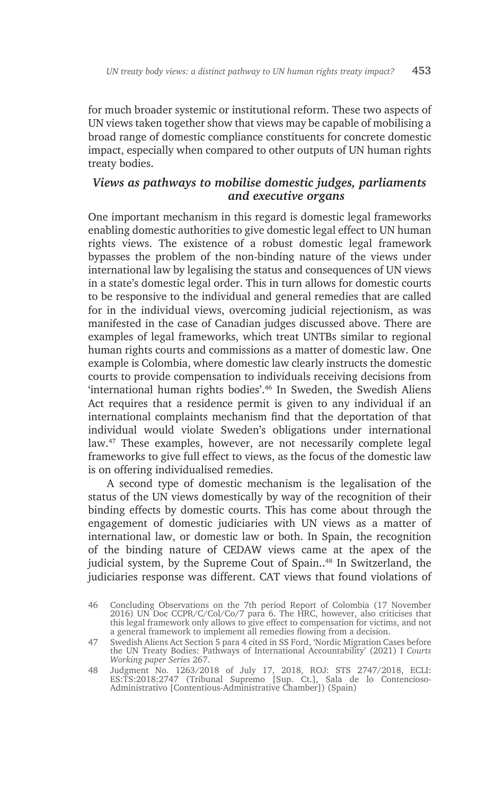for much broader systemic or institutional reform. These two aspects of UN views taken together show that views may be capable of mobilising a broad range of domestic compliance constituents for concrete domestic impact, especially when compared to other outputs of UN human rights treaty bodies.

#### *Views as pathways to mobilise domestic judges, parliaments and executive organs*

One important mechanism in this regard is domestic legal frameworks enabling domestic authorities to give domestic legal effect to UN human rights views. The existence of a robust domestic legal framework bypasses the problem of the non-binding nature of the views under international law by legalising the status and consequences of UN views in a state's domestic legal order. This in turn allows for domestic courts to be responsive to the individual and general remedies that are called for in the individual views, overcoming judicial rejectionism, as was manifested in the case of Canadian judges discussed above. There are examples of legal frameworks, which treat UNTBs similar to regional human rights courts and commissions as a matter of domestic law. One example is Colombia, where domestic law clearly instructs the domestic courts to provide compensation to individuals receiving decisions from 'international human rights bodies'.46 In Sweden, the Swedish Aliens Act requires that a residence permit is given to any individual if an international complaints mechanism find that the deportation of that individual would violate Sweden's obligations under international law.47 These examples, however, are not necessarily complete legal frameworks to give full effect to views, as the focus of the domestic law is on offering individualised remedies.

A second type of domestic mechanism is the legalisation of the status of the UN views domestically by way of the recognition of their binding effects by domestic courts. This has come about through the engagement of domestic judiciaries with UN views as a matter of international law, or domestic law or both. In Spain, the recognition of the binding nature of CEDAW views came at the apex of the judicial system, by the Supreme Cout of Spain..<sup>48</sup> In Switzerland, the judiciaries response was different. CAT views that found violations of

<sup>46</sup> Concluding Observations on the 7th period Report of Colombia (17 November 2016) UN Doc CCPR/C/Col/Co/7 para 6. The HRC, however, also criticises that this legal framework only allows to give effect to compensation for victims, and not a general framework to implement all remedies flowing from a decision.

<sup>47</sup> Swedish Aliens Act Section 5 para 4 cited in SS Ford, 'Nordic Migration Cases before the UN Treaty Bodies: Pathways of International Accountability' (2021) I *Courts Working paper Series* 267.

<sup>48</sup> Judgment No. 1263/2018 of July 17, 2018, ROJ: STS 2747/2018, ECLI: ES:TS:2018:2747 (Tribunal Supremo [Sup. Ct.], Sala de lo Contencioso-Administrativo [Contentious-Administrative Chamber]) (Spain)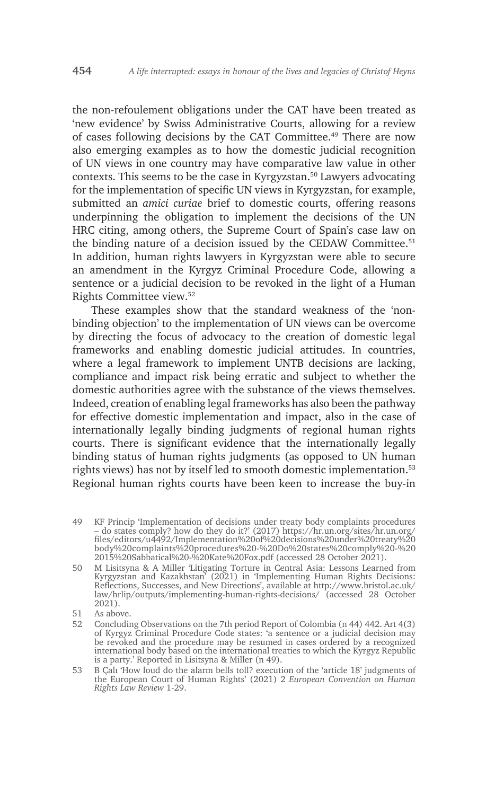the non-refoulement obligations under the CAT have been treated as 'new evidence' by Swiss Administrative Courts, allowing for a review of cases following decisions by the CAT Committee.49 There are now also emerging examples as to how the domestic judicial recognition of UN views in one country may have comparative law value in other contexts. This seems to be the case in Kyrgyzstan.<sup>50</sup> Lawyers advocating for the implementation of specific UN views in Kyrgyzstan, for example, submitted an *amici curiae* brief to domestic courts, offering reasons underpinning the obligation to implement the decisions of the UN HRC citing, among others, the Supreme Court of Spain's case law on the binding nature of a decision issued by the CEDAW Committee.<sup>51</sup> In addition, human rights lawyers in Kyrgyzstan were able to secure an amendment in the Kyrgyz Criminal Procedure Code, allowing a sentence or a judicial decision to be revoked in the light of a Human Rights Committee view.<sup>52</sup>

These examples show that the standard weakness of the 'nonbinding objection' to the implementation of UN views can be overcome by directing the focus of advocacy to the creation of domestic legal frameworks and enabling domestic judicial attitudes. In countries, where a legal framework to implement UNTB decisions are lacking, compliance and impact risk being erratic and subject to whether the domestic authorities agree with the substance of the views themselves. Indeed, creation of enabling legal frameworks has also been the pathway for effective domestic implementation and impact, also in the case of internationally legally binding judgments of regional human rights courts. There is significant evidence that the internationally legally binding status of human rights judgments (as opposed to UN human rights views) has not by itself led to smooth domestic implementation.<sup>53</sup> Regional human rights courts have been keen to increase the buy-in

49 KF Princip 'Implementation of decisions under treaty body complaints procedures – do states comply? how do they do it?' (2017) https://hr.un.org/sites/hr.un.org/ files/editors/u4492/Implementation%20of%20decisions%20under%20treaty%20 body%20complaints%20procedures%20-%20Do%20states%20comply%20-%20 2015%20Sabbatical%20-%20Kate%20Fox.pdf (accessed 28 October 2021).

50 M Lisitsyna & A Miller 'Litigating Torture in Central Asia: Lessons Learned from Kyrgyzstan and Kazakhstan' (2021) in 'Implementing Human Rights Decisions: Reflections, Successes, and New Directions', available at http://www.bristol.ac.uk/ law/hrlip/outputs/implementing-human-rights-decisions/ (accessed 28 October 2021).

- 51 As above.
- 52 Concluding Observations on the 7th period Report of Colombia (n 44) 442. Art 4(3) of Kyrgyz Criminal Procedure Code states: 'a sentence or a judicial decision may be revoked and the procedure may be resumed in cases ordered by a recognized international body based on the international treaties to which the Kyrgyz Republic is a party.' Reported in Lisitsyna & Miller (n 49).
- 53 B Çalı 'How loud do the alarm bells toll? execution of the 'article 18' judgments of the European Court of Human Rights' (2021) 2 *European Convention on Human Rights Law Review* 1-29.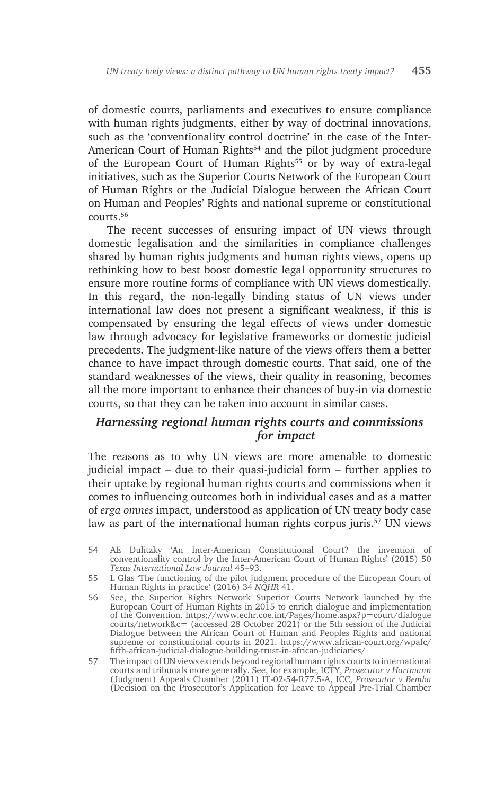of domestic courts, parliaments and executives to ensure compliance with human rights judgments, either by way of doctrinal innovations, such as the 'conventionality control doctrine' in the case of the Inter-American Court of Human Rights<sup>54</sup> and the pilot judgment procedure of the European Court of Human Rights<sup>55</sup> or by way of extra-legal initiatives, such as the Superior Courts Network of the European Court of Human Rights or the Judicial Dialogue between the African Court on Human and Peoples' Rights and national supreme or constitutional courts.<sup>56</sup>

The recent successes of ensuring impact of UN views through domestic legalisation and the similarities in compliance challenges shared by human rights judgments and human rights views, opens up rethinking how to best boost domestic legal opportunity structures to ensure more routine forms of compliance with UN views domestically. In this regard, the non-legally binding status of UN views under international law does not present a significant weakness, if this is compensated by ensuring the legal effects of views under domestic law through advocacy for legislative frameworks or domestic judicial precedents. The judgment-like nature of the views offers them a better chance to have impact through domestic courts. That said, one of the standard weaknesses of the views, their quality in reasoning, becomes all the more important to enhance their chances of buy-in via domestic courts, so that they can be taken into account in similar cases.

#### *Harnessing regional human rights courts and commissions for impact*

The reasons as to why UN views are more amenable to domestic judicial impact – due to their quasi-judicial form – further applies to their uptake by regional human rights courts and commissions when it comes to influencing outcomes both in individual cases and as a matter of *erga omnes* impact, understood as application of UN treaty body case law as part of the international human rights corpus juris.<sup>57</sup> UN views

<sup>54</sup> AE Dulitzky 'An Inter-American Constitutional Court? the invention of conventionality control by the Inter-American Court of Human Rights' (2015) 50 *Texas International Law Journal* 45–93.

<sup>55</sup> L Glas 'The functioning of the pilot judgment procedure of the European Court of Human Rights in practice' (2016) 34 *NQHR* 41.

<sup>56</sup> See, the Superior Rights Network Superior Courts Network launched by the European Court of Human Rights in 2015 to enrich dialogue and implementation of the Convention. https://www.echr.coe.int/Pages/home.aspx?p=court/dialogue courts/network&c= (accessed 28 October 2021) or the 5th session of the Judicial Dialogue between the African Court of Human and Peoples Rights and national supreme or constitutional courts in 2021. https://www.african-court.org/wpafc/ fifth-african-judicial-dialogue-building-trust-in-african-judiciaries/

<sup>57</sup> The impact of UN views extends beyond regional human rights courts to international courts and tribunals more generally. See, for example, ICTY, *Prosecutor v Hartmann* (Judgment) Appeals Chamber (2011) IT-02-54-R77.5-A, ICC, *Prosecutor v Bemba*  (Decision on the Prosecutor's Application for Leave to Appeal Pre-Trial Chamber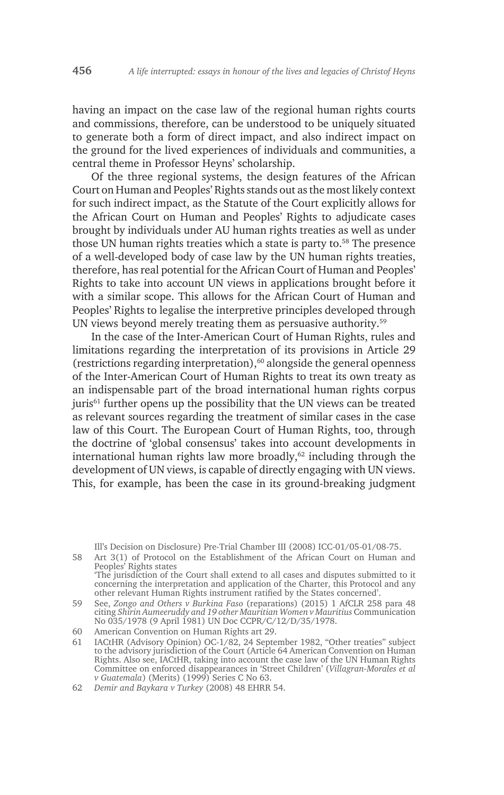having an impact on the case law of the regional human rights courts and commissions, therefore, can be understood to be uniquely situated to generate both a form of direct impact, and also indirect impact on the ground for the lived experiences of individuals and communities, a central theme in Professor Heyns' scholarship.

Of the three regional systems, the design features of the African Court on Human and Peoples' Rights stands out as the most likely context for such indirect impact, as the Statute of the Court explicitly allows for the African Court on Human and Peoples' Rights to adjudicate cases brought by individuals under AU human rights treaties as well as under those UN human rights treaties which a state is party to.<sup>58</sup> The presence of a well-developed body of case law by the UN human rights treaties, therefore, has real potential for the African Court of Human and Peoples' Rights to take into account UN views in applications brought before it with a similar scope. This allows for the African Court of Human and Peoples' Rights to legalise the interpretive principles developed through UN views beyond merely treating them as persuasive authority.<sup>59</sup>

In the case of the Inter-American Court of Human Rights, rules and limitations regarding the interpretation of its provisions in Article 29 (restrictions regarding interpretation), $60$  alongside the general openness of the Inter-American Court of Human Rights to treat its own treaty as an indispensable part of the broad international human rights corpus juris<sup>61</sup> further opens up the possibility that the UN views can be treated as relevant sources regarding the treatment of similar cases in the case law of this Court. The European Court of Human Rights, too, through the doctrine of 'global consensus' takes into account developments in international human rights law more broadly, $62$  including through the development of UN views, is capable of directly engaging with UN views. This, for example, has been the case in its ground-breaking judgment

Ill's Decision on Disclosure) Pre-Trial Chamber III (2008) ICC-01/05-01/08-75.

58 Art 3(1) of Protocol on the Establishment of the African Court on Human and Peoples' Rights states

'The jurisdiction of the Court shall extend to all cases and disputes submitted to it concerning the interpretation and application of the Charter, this Protocol and any other relevant Human Rights instrument ratified by the States concerned'.

<sup>59</sup> See, *Zongo and Others v Burkina Faso* (reparations) (2015) 1 AfCLR 258 para 48 citing *Shirin Aumeeruddy and 19 other Mauritian Women v Mauritius* Communication No 035/1978 (9 April 1981) UN Doc CCPR/C/12/D/35/1978.

<sup>60</sup> American Convention on Human Rights art 29.

<sup>61</sup> IACtHR (Advisory Opinion) OC-1/82, 24 September 1982, "Other treaties" subject to the advisory jurisdiction of the Court (Article 64 American Convention on Human Rights. Also see, IACtHR, taking into account the case law of the UN Human Rights Committee on enforced disappearances in 'Street Children' (*Villagran-Morales et al v Guatemala*) (Merits) (1999) Series C No 63.

<sup>62</sup> *Demir and Baykara v Turkey* (2008) 48 EHRR 54.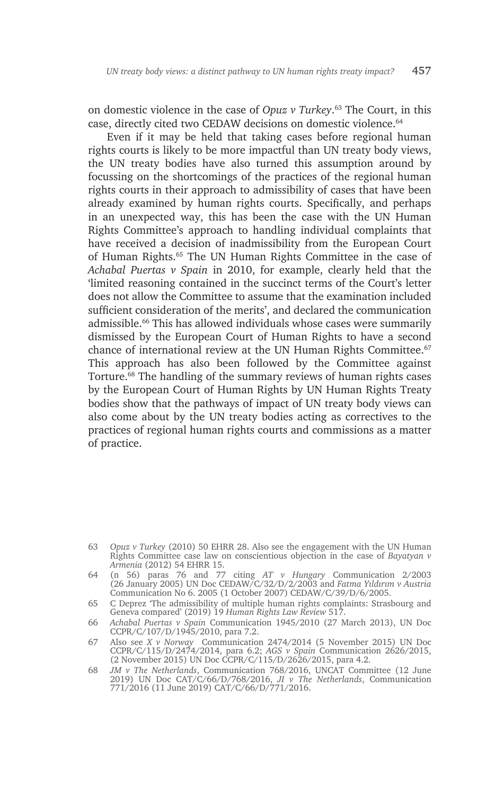on domestic violence in the case of *Opuz v Turkey*. <sup>63</sup> The Court, in this case, directly cited two CEDAW decisions on domestic violence.<sup>64</sup>

Even if it may be held that taking cases before regional human rights courts is likely to be more impactful than UN treaty body views, the UN treaty bodies have also turned this assumption around by focussing on the shortcomings of the practices of the regional human rights courts in their approach to admissibility of cases that have been already examined by human rights courts. Specifically, and perhaps in an unexpected way, this has been the case with the UN Human Rights Committee's approach to handling individual complaints that have received a decision of inadmissibility from the European Court of Human Rights.65 The UN Human Rights Committee in the case of *Achabal Puertas v Spain* in 2010, for example, clearly held that the 'limited reasoning contained in the succinct terms of the Court's letter does not allow the Committee to assume that the examination included sufficient consideration of the merits', and declared the communication admissible.<sup>66</sup> This has allowed individuals whose cases were summarily dismissed by the European Court of Human Rights to have a second chance of international review at the UN Human Rights Committee.<sup>67</sup> This approach has also been followed by the Committee against Torture.68 The handling of the summary reviews of human rights cases by the European Court of Human Rights by UN Human Rights Treaty bodies show that the pathways of impact of UN treaty body views can also come about by the UN treaty bodies acting as correctives to the practices of regional human rights courts and commissions as a matter of practice.

<sup>63</sup> *Opuz v Turkey* (2010) 50 EHRR 28. Also see the engagement with the UN Human Rights Committee case law on conscientious objection in the case of *Bayatyan v Armenia* (2012) 54 EHRR 15.

<sup>64</sup> (n 56) paras 76 and 77 citing *AT v Hungary* Communication 2/2003 (26 January 2005) UN Doc CEDAW/C/32/D/2/2003 and *Fatma Yıldırım v Austria*  Communication No 6. 2005 (1 October 2007) CEDAW/C/39/D/6/2005.

<sup>65</sup> C Deprez 'The admissibility of multiple human rights complaints: Strasbourg and Geneva compared' (2019) 19 *Human Rights Law Review* 517.

<sup>66</sup> *Achabal Puertas v Spain* Communication 1945/2010 (27 March 2013), UN Doc CCPR/C/107/D/1945/2010, para 7.2.

<sup>67</sup> Also see *X v Norway* Communication 2474/2014 (5 November 2015) UN Doc CCPR/C/115/D/2474/2014, para 6.2; *AGS v Spain* Communication 2626/2015, (2 November 2015) UN Doc CCPR/C/115/D/2626/2015, para 4.2.

<sup>68</sup> *JM v The Netherlands*, Communication 768/2016, UNCAT Committee (12 June 2019) UN Doc CAT/C/66/D/768/2016, *JI v The Netherlands*, Communication 771/2016 (11 June 2019) CAT/C/66/D/771/2016.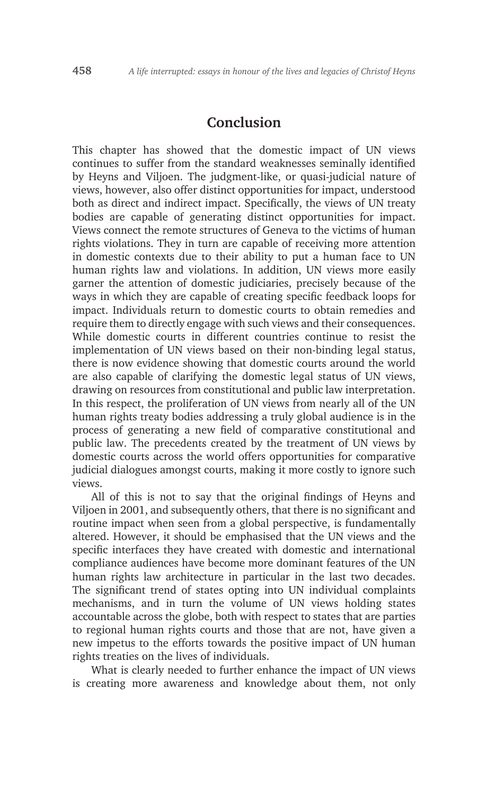### **Conclusion**

This chapter has showed that the domestic impact of UN views continues to suffer from the standard weaknesses seminally identified by Heyns and Viljoen. The judgment-like, or quasi-judicial nature of views, however, also offer distinct opportunities for impact, understood both as direct and indirect impact. Specifically, the views of UN treaty bodies are capable of generating distinct opportunities for impact. Views connect the remote structures of Geneva to the victims of human rights violations. They in turn are capable of receiving more attention in domestic contexts due to their ability to put a human face to UN human rights law and violations. In addition, UN views more easily garner the attention of domestic judiciaries, precisely because of the ways in which they are capable of creating specific feedback loops for impact. Individuals return to domestic courts to obtain remedies and require them to directly engage with such views and their consequences. While domestic courts in different countries continue to resist the implementation of UN views based on their non-binding legal status, there is now evidence showing that domestic courts around the world are also capable of clarifying the domestic legal status of UN views, drawing on resources from constitutional and public law interpretation. In this respect, the proliferation of UN views from nearly all of the UN human rights treaty bodies addressing a truly global audience is in the process of generating a new field of comparative constitutional and public law. The precedents created by the treatment of UN views by domestic courts across the world offers opportunities for comparative judicial dialogues amongst courts, making it more costly to ignore such views.

All of this is not to say that the original findings of Heyns and Viljoen in 2001, and subsequently others, that there is no significant and routine impact when seen from a global perspective, is fundamentally altered. However, it should be emphasised that the UN views and the specific interfaces they have created with domestic and international compliance audiences have become more dominant features of the UN human rights law architecture in particular in the last two decades. The significant trend of states opting into UN individual complaints mechanisms, and in turn the volume of UN views holding states accountable across the globe, both with respect to states that are parties to regional human rights courts and those that are not, have given a new impetus to the efforts towards the positive impact of UN human rights treaties on the lives of individuals.

What is clearly needed to further enhance the impact of UN views is creating more awareness and knowledge about them, not only